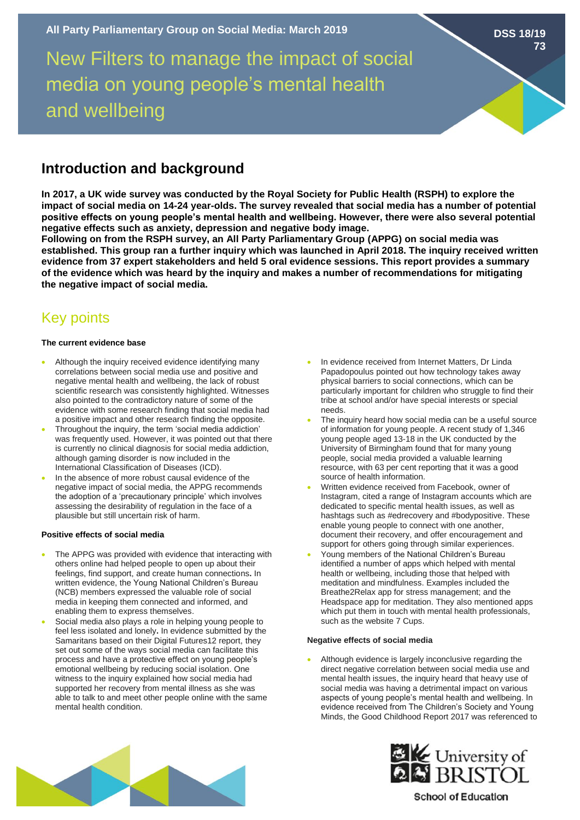New Filters to manage the impact of social media on young people's mental health and wellbeing

# **Introduction and background**

**In 2017, a UK wide survey was conducted by the Royal Society for Public Health (RSPH) to explore the impact of social media on 14-24 year-olds. The survey revealed that social media has a number of potential positive effects on young people's mental health and wellbeing. However, there were also several potential negative effects such as anxiety, depression and negative body image.** 

**Following on from the RSPH survey, an All Party Parliamentary Group (APPG) on social media was established. This group ran a further inquiry which was launched in April 2018. The inquiry received written evidence from 37 expert stakeholders and held 5 oral evidence sessions. This report provides a summary of the evidence which was heard by the inquiry and makes a number of recommendations for mitigating the negative impact of social media.** 

# Key points

## **The current evidence base**

- Although the inquiry received evidence identifying many correlations between social media use and positive and negative mental health and wellbeing, the lack of robust scientific research was consistently highlighted. Witnesses also pointed to the contradictory nature of some of the evidence with some research finding that social media had a positive impact and other research finding the opposite.
- Throughout the inquiry, the term 'social media addiction' was frequently used. However, it was pointed out that there is currently no clinical diagnosis for social media addiction, although gaming disorder is now included in the International Classification of Diseases (ICD).
- In the absence of more robust causal evidence of the negative impact of social media, the APPG recommends the adoption of a 'precautionary principle' which involves assessing the desirability of regulation in the face of a plausible but still uncertain risk of harm.

### **Positive effects of social media**

- The APPG was provided with evidence that interacting with others online had helped people to open up about their feelings, find support, and create human connections**.** In written evidence, the Young National Children's Bureau (NCB) members expressed the valuable role of social media in keeping them connected and informed, and enabling them to express themselves.
- Social media also plays a role in helping young people to feel less isolated and lonely**.** In evidence submitted by the Samaritans based on their Digital Futures12 report, they set out some of the ways social media can facilitate this process and have a protective effect on young people's emotional wellbeing by reducing social isolation. One witness to the inquiry explained how social media had supported her recovery from mental illness as she was able to talk to and meet other people online with the same mental health condition.
- In evidence received from Internet Matters, Dr Linda Papadopoulus pointed out how technology takes away physical barriers to social connections, which can be particularly important for children who struggle to find their tribe at school and/or have special interests or special needs.
- The inquiry heard how social media can be a useful source of information for young people. A recent study of 1,346 young people aged 13-18 in the UK conducted by the University of Birmingham found that for many young people, social media provided a valuable learning resource, with 63 per cent reporting that it was a good source of health information.
- Written evidence received from Facebook, owner of Instagram, cited a range of Instagram accounts which are dedicated to specific mental health issues, as well as hashtags such as #edrecovery and #bodypositive. These enable young people to connect with one another, document their recovery, and offer encouragement and support for others going through similar experiences.
- Young members of the National Children's Bureau identified a number of apps which helped with mental health or wellbeing, including those that helped with meditation and mindfulness. Examples included the Breathe2Relax app for stress management; and the Headspace app for meditation. They also mentioned apps which put them in touch with mental health professionals, such as the website 7 Cups.

## **Negative effects of social media**

Although evidence is largely inconclusive regarding the direct negative correlation between social media use and mental health issues, the inquiry heard that heavy use of social media was having a detrimental impact on various aspects of young people's mental health and wellbeing. In evidence received from The Children's Society and Young Minds, the Good Childhood Report 2017 was referenced to





**School of Education** 

**DSS 18/19 73**